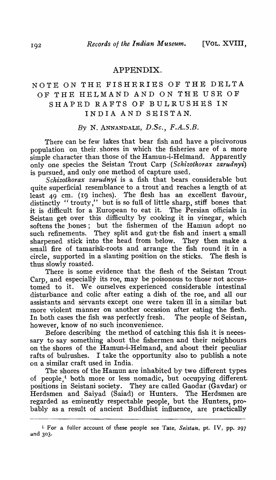## APPENDIX.

## NOTE ON THE FISHERIES OF THE DELTA OF THE HELMAND AND ON THE USE OF SHAPED RAFTS OF BULRUSHES IN INDIA AND SEISTAN.

## By N. ANNANDALE, *D.Se.,* F.A.S.B.

There can be few lakes that bear fish and have a piscivorous population on their shores in which the fisheries are of a more simple character than those of the Hamun-i-Helmand. Apparently only one species the Seistan Trout Carp *(Schizothorax zarudnyi)* is pursued, and only one method of capture used.

*Schizothorax zarudnyi* is a fish that bears considerable but quite superficial resemblance to a trout and reaches a length of at least 49 cm. (19 inches). The flesh has an excellent flavour, distinctly "trouty," but is so full of little sharp, stiff bones that it is difficult for a European to eat it. The Persian officials in. Seistan get over this difficulty by cooking it in vinegar, which softens the bones; but the fishermen of the Hamun adopt no such refinements. They split and gut the fish and insert a small sharpened stick into the head from below. They then make a small fire of tamarisk-roots and arrange the fish round it in a circle, supported in a slanting position on the sticks. The flesh is thus slowly roasted.

There is some evidence that the flesh of the Seistan Trout Carp, and especially its roe, may be poisonous to those not accustomed to it. We ourselves experienced considerable intestinal disturbance and colic after eating a dish of the roe, and all our assistants and servants except one were taken ill in a similar but more violent manner on another occasion after eating the flesh. In both cases the fish was perfectly fresh. The people of Seistan, however, know of no such inconvenience.

Before describing the method of catching this fish it is necessary to say something about the fishermen and their neighbours on the shores of the Hamun-i-Helmand, and about their peculiar rafts of bulrushes. I take the opportunity also to publish a note on a similar craft used in India.

The shores of the Hamun are inhabited by two different types of people,<sup>1</sup> both more or less nomadic, but occupying different. positions in Seistani society. They are called Gaodar (Gavdar) or Herdsmen and Saiyad (Saiad) or Hunters. The Herdsmen are regarded as eminently respectable people, but the Hunters,  $pro\div$ bably as a result of ancient Buddhist influence, are practically

<sup>1.</sup> For a fuller account of these people see Tate, *Seistan,* pt. IV, pp. 297 and 303.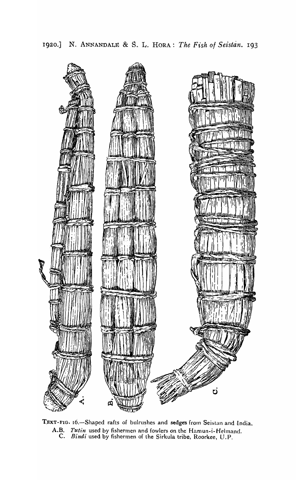

TEXT-FIG. 16.-Shaped rafts of bulrushes and sedges from Seistan and India. A.B. *Tutin* used by fishermen and fowlers dn the Hamun-i- Helmand. C. *Bindi* used by fishermen of the Sirkula tribe, Roorkee, U. P.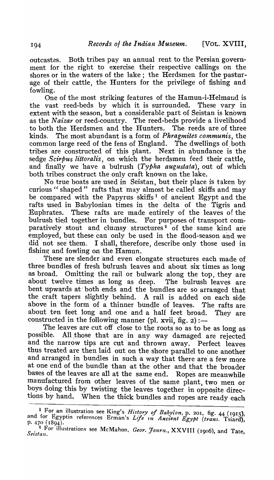outcastes. Both tribes pay an annual rent to the Persian government for the right to exercise their respective callings on the shores or in the waters of the lake; the Herdsmen for the pasturage of their cattle, the Hunters for the privilege of fishing and fowling.

One of the most striking features of the Hamun-i-Helmand is the vast reed-beds by which it is surrounded. These vary in extent with the season, but a considerable part of Seistan is known as the *N aizar* or reed-country. The reed-beds provide a livelihood to both the Herdsmen and the Hunters. The reeds are of three kinds. The most abundant is a form of *Phragmites communis,* the common large reed of the fens of  ${\rm England.}$  The dwellings of both tribes are constructed of this plant. Next in abundance is the sedge *Scirbus littoralis*, on which the herdsmen feed their cattle, and finally we have a bulrush  $(T\nu)$ *pha augustata*), out of which both tribes construct the only craft known on the lake.

No true boats are used in Seistan, but their place is taken by curious " shaped" rafts that may almost be called skiffs and may be compared with the Papyrus skiffs<sup>1</sup> of ancient Egypt and the rafts used in Babylonian times in the delta of the Tigris and Euphrates. These rafts are made entirely of the leaves of the bulrush tied together in bundles. For purposes of transport comparatively stout and clumsy structures<sup>2</sup> of the same kind are employed, but these can only be used in the flood-season and we did not see them. I shall, therefore, describe only those used in fishing and fowling on the Hamun.

These are slender and even elongate structures each made of three bundles of fresh bulrush leaves and about six times as long as broad. Omitting the rail or bulwark along the top, they are about twelve times as long as deep. The bulrush leaves are bent upwards at both ends and the bundles are so arranged that the craft tapers slightly behind. A rail is added on each side above in the form of a thinner bundle of leaves. The rafts are about ten feet long and one and a half feet broad. They are constructed in the following manner (pl. xvii, fig.  $2$ ) :-

The leaves are cut off close to the roots so as to be as long as possible. All those that are in any way damaged are rejected and the narrow tips are cut and thrown away. Perfect leaves thus treated are then laid out on the shore parallel to one another and arranged in bundles in such a way that there are a few more at one end of the bundle than at the other and that the broader bases of the leaves are all at the same end. Ropes are meanwhile manufactured from other leaves of the same plant, two men or boys doing this by twisting the leaves together in opposite directions by hand. When the thick bundles and ropes are ready each

<sup>&</sup>lt;sup>1</sup> For an illustration see King's *History of Babylon*, p. 201, fig. 44 (1915), and for Egyptin references Erman's Life in Ancient Egypt (trans. Tsiard),<br>p. 470 (1894).

<sup>2.</sup> For illustrations see McMahon, *Geor. Journ.*, XXVIII (1906), and Tate, *Seistan*.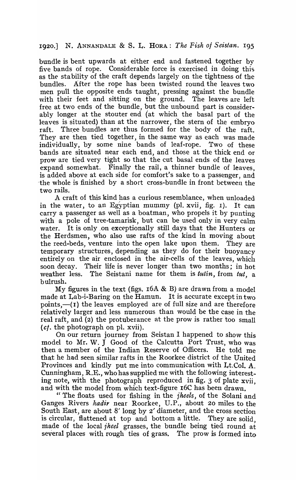1920.] 1~. ANNANDALE & S. L. HORA: *The Fish of Seistan.* I95

bundle is bent upwards at either end and fastened together by five bands of rope. Considerable force is exercised in doing this as the stability of the craft depends largely on the tightness of the bundles. After the rope has been twisted round the leaves two men pull the opposite ends taught, pressing against the bundle with their feet and sitting on the ground. The leaves are left free at two ends of the bundle, but the unbound part is considerably longer at the stouter end (at which the basal part of the leaves is situated) than at the narrower, the stern of the embryo raft. Three bundles are thus formed for the body of the raft. They are then tied together, in the same way as each was made individually, by some nine bands of leaf-rope. Two of these bands are situated near each end, and those at the thick end or prow are tied very tight so that the cut basal ends of the leaves expand somewhat. Finally the rail, a thinner bundle of leaves, is added above at each side for comfort's sake to a passenger, and ·the whole is finished by a short cross-bundle in front between the two rails.

A craft of this kind has a curious resemblance, when unloaded in the water, to an Egyptian mummy (pl. xvii, fig. 1). It can carry a passenger as well as a boatman, who propels it by punting with a pole of tree-tamarisk, but can be used only in very calm water. It is only .on exceptionally still days that the Hunters or the Herdsmen, who also use rafts of the kind in moving about the reed-beds, venture. into the open lake upon them. They are temporary structures, depending as they do for their buoyancy entirely on the air enclosed in the air-cells of the leaves, which soon decay. Their life is never longer than two months; in hot weather less. The Seistani name for them is *tutin,* from *tut,* a bulrush.

My figures in the text (figs.  $16A \& B$ ) are drawn from a model made at Lab-i-Baring on the Hamun. It is accurate except in  $tw_0$ points, $-(1)$  the leaves employed are of full size and are therefore relatively larger and less numerous than would be the case in the teal raft, and (2) the protuberance at the prow is rather too small  $(ct,$  the photograph on pl. xvii).

On our return journey from Seistan I happened to show this model to Mr. W. J Good of the Calcutta Port Trust, who was then a member of the Indian Reserve of Officers. He told me that he had seen similar rafts in the Roorkee district of the United Provinces and kindly put me into communication with Lt.Col. A. Cunningham, R.E., who has supplied me with the following interesting note, with the photograph reproduced in fig. 3 of plate xvii, and with the model from which text-figure 16C has been drawn.

" The floats used for fishing in the *iheels,* of the Solani and Ganges Rivers *kadir* near Roorkee, U.P., about 20 miles to the South East, are about 8' long by 2' diameter, and the cross section is circular, flattened at top and bottom a little. They are solid made of the *local jheel* grasses, the bundle being tied round at several places with rough ties of grass. The prow is formed into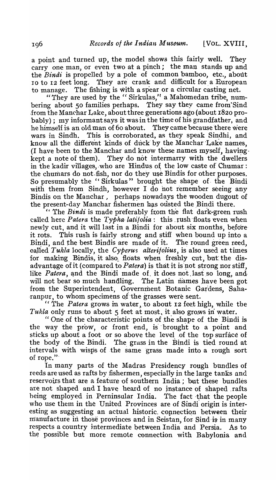a point and turned up, the model shows this fairly well. They carry one man, or even two at a pinch; the man stands up and the *Bindi* is propelled by a pole of common bamboo, etc., about 10 to 12 feet long. They are crank and difficult for a European to manage. The fishing is with a spear or a circular casting net.

"They are used by the "Sirkulas," a Mahomedan tribe, numbering about 50 families perhaps. They say they came from Sind from the Manchar Lake, about three generations ago (about 1820 probably); my informant says it was in the time of his grandfather, and he himself is an old man of 60 about. They came because there were wars in Sindh. This is corroborated, as they speak Sindhi, and know all the different kinds of duck by the Manchar Lake names. (I have been to the Manchar and know these names myself, having. kept a note of them). They do not intermarry with the dwellers in the kadir villages, who are Hindus of the low caste of Chumar: the chumars do not fish, nor do they use Bindis for other purposes. So presumably the "Sirkulas" brought the shape of the Bindi with them from Sindh, however I do not remember seeing any Bindis on the Manchar, perhaps nowadays the wooden dugout of the present-day Manchar fishermen has ousted the Bindi there.

" The *Bindi* is made preferably ftom the flat dark-green 'rush called here *Patera* the *Typha-latifolia*: this rush floats even when newly cut, and it will last in a Bindi for about six months, before it rots. This rush is fairly strong and stiff when bound up into a Bindi, and the best Bindis are made of it. The round green reed, called *Tukla* locally, the *Cyperus alterifolius*, is also used at times for making. Bindis, it also. floats when freshly cut, but the disadvantage of it (compared to *Patera*) is that it is not strong nor stiff, like *Patera*, and the Bindi made of it does not last so long, and will not bear so much handling. The Latin names have been got from the Superintendent, Government Botanic Gardens, Saharanpur, to whom specimens of the grasses were sent.

" The *Patera* grows in water, to about 12 feet high, while the *Tukla* only runs to about 5 feet at most, it also gro.ws in water.

" One of the characteristic points of the shape of the Bindi is the way the prow, or front end, is brought to a point and sticks up about a foot or so above the level, of the top surface of the body of the Bindi. The grass in the Bindi is tied round at intervals with wisps of the same grass made into a rough sort of rope.'"

In many parts of the Madras Presidency rough bundles of reeds are used as rafts by fishermen, especially jn the large tanks and reservoirs that are a feature of southern India; but these bundles are not shaped and I have heard of no instance of shaped .rafts being employed in Perninsular India. The fact that the people who use them in the United Provinces are of Sindi origin is interesting as suggesting an actual historic. connection between their manufacture in those provinces and in Seistan, for Sind is in many respects a country intermediate between India and Persia. As to the possible but more remote connection with Babylonia and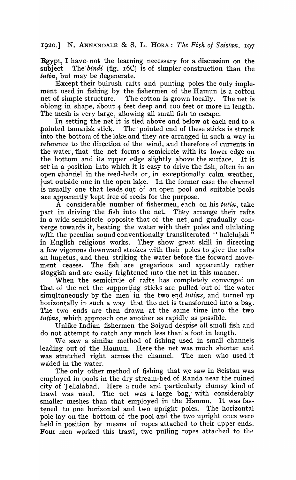1920.] N. ANNANDALE & S. L. HORA: *The Fish oj Seistan.* I97

Egypt, I have- not the learning necessary for a discussion on the subject. The *bindi* (fig. 16C) is of simpler construction than the tutin, but may be degenerate.

Except their bulrush rafts and punting poles the only implement used in fishing by the fishermen of the Ramun is a cotton net of simple structure. The cotton is grown locally. The net is oblong in shape, about 4 feet deep and 100 feet or more in length. The mesh is very large, allowing all small fish to escape.

In setting the net it is tied above and below at each end to a pointed tamarisk stick. The pointed end of these sticks is struck The pointed end of these sticks is struck into the bottom of the lake and they are arranged in such a way in reference to the direction of the wind, and therefore of currents in the water, that the net forms a semicircle with its lower edge on the bottom and its upper edge slightly above the surface. It is set in a position into which it is easy to drive the fish, often in an open channel in the reed-beds or, in exceptionally calm weather, just outside one in the open lake. In the former case the channel is usually one that leads out of an open pool and suitable pools are apparently kept free of reeds for the purpose.

A considerable number of fishermen, each on his *tutin*, take part in driving the fish into the net. They arrange their rafts in a wide semicircle opposite that of the net and gradually converge towards it, beating the water with their poles and ululating with the peculiar sound conventionally transliterated "halelujah" in English religious works. They show great skill in directing a few vigorous down ward strokes with their poles to give the rafts an impetus, and then striking the water before the forward move-<br>ment ceases. The fish are gregarious and apparently rather The fish are gregarious and apparently rather sluggish and are easily frightened into the net in this manner.

When the semicircle of rafts has completely converged on that of the net the supporting sticks are pulled out of the water simultaneously by the men in the two end *tutins*, and turned up horizontally in such a way that the net is transformed into a bag. The two ends are then drawn at the same time into the two *tutins,* which approach one another as rapidly as possible.

Unlike Indian fishermen the Saiyad despise all small fish and do not attempt to catch any much less than' a foot in length.

We saw a similar method of fishing used in small channels leading out of the Ramun. Here the net was much shorter and was stretched right across the channel. The men who used it waded in the water.

The only other method of fishing that we saw in Seistan was employed in pools in the dry stream-bed of Randa near the ruined city of Tellalabad. Here a rude and particularly clumsy kind of trawl was used. 1'he net was a large bag; with considerably smaller meshes than that employed in the Hamun. It was fastened to one horizontal and two upright poles. The horizontal pole lay on the bottom of the pool and the two upright ones were held in position by' means of ropes attached to their upper ends. Four men worked this trawl, two pulling ropes attached to the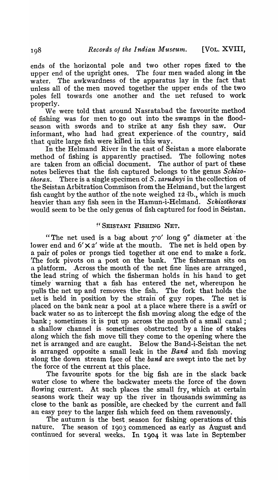ends of the horizontal pole and two other ropes fixed to' the upper end of the upright ones. The four men waded along in the water. The awkwardness of the apparatus lay in the fact that unless all of the men moved together the upper ends of the two poles fell towards 'one another and the net refused to work properly.

We were told that around Nasratabad the favourite method of fishing was for men to go out into the swamps in the floodseason with swords and to strike at any fish they saw. Our informant, who had had great experience. of the country, said that quite large fish were killed in this way.

In the Helmand River in the east of Seistan a more elaborate method of fishing is apparently practised. The following notes are taken from an official document. The author of part of these notes believes that the fish captured belongs to the genus *S.chizothorax.* There is a single'specimen of *S. zarudnyi* iu the collection of the Seistan Arbitration Commison from the Helniand, but the largest fish caught by the author of the note weighed  $12$   $lb.$ , which is much heavier than any fish seen in the Hamun-i-Helmand. Schizothorax' would seem to be the only genus of fish captured for food in Seistan.

## ~'SEISTANI FISHING NET.

"The net used is a bag about  $7'$ <sup>o</sup>' long  $9''$  diameter at the lower end and  $6' \times 2'$  wide at the mouth. The net is held open by. a pair of poles or prongs tied together at one end to make a fork. The fork pivots on a post on the bank. The fisherman sits on a platform. Across the mouth of the net fine lines are arranged, the lead string of which the fisherman holds in his hand 'to get timely warning that a fish has entered the net, whereupon he pulls the net up and removes the fish. The fork that holds the pulls the net up and removes the fish. net is held in position by the strain of guy ropes. The net is placed on the bank near a pool at a place where there is a swirl or 'back water so as to intercept the fish moving along the edge of the bank; sometimes it is put up across the mouth of a small canal; a shallow channel is sometimes obstructed by a line of stakes along which the fish move till they come to the opening where the net is arranged and are caught. Below the Band-i-Seistan the net is arranged opposite a' small leak in the *Band* and fish moving along the down stream face of the *band* are swept into the net by the force of the current at this place.

The favourite spots for the big fish are in the slack back water close to where the backwater meets the force of the down flowing current. At such places the small fry, which at certain seasons work their way up the river in thousands swimming as close to the bank as possible, are checked by the current and fall an easy prey to the larger fish which feed on them ravenously.

The autumn is the best season for fishing operations of this nature. The season of 1903 commenced as early as August and continued for several weeks. In 1904 it was late in September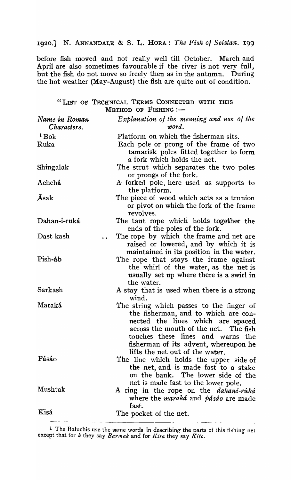1920.] N. ANNANDALE & S. L. HORA: *The Fish ot Seistan. 199* 

before fish moved and not really well till October. March and April are also sometimes favourable if the river is not very full, but the fish do not move so freely then as in the autumn. During the hot weather (May-August) the fish are quite out of condition.

| "LIST OF TECHNICAL TERMS CONNECTED WITH THIS<br>METHOD OF FISHING :- |                                                                                                                                                                                                                                                                                 |  |  |
|----------------------------------------------------------------------|---------------------------------------------------------------------------------------------------------------------------------------------------------------------------------------------------------------------------------------------------------------------------------|--|--|
| Name in Roman<br>Characters.                                         | Explanation of the meaning and use of the<br>word.                                                                                                                                                                                                                              |  |  |
| $\mathbf{B}$                                                         | Platform on which the fisherman sits.                                                                                                                                                                                                                                           |  |  |
| Ruka                                                                 | Each pole or prong of the frame of two<br>tamarisk poles fitted together to form<br>a fork which holds the net.                                                                                                                                                                 |  |  |
| Shingalak                                                            | The strut which separates the two poles<br>or prongs of the fork.                                                                                                                                                                                                               |  |  |
| Achchá                                                               | A forked pole, here used as supports to<br>the platform.                                                                                                                                                                                                                        |  |  |
| Āsak                                                                 | The piece of wood which acts as a trunion<br>or pivot on which the fork of the frame<br>revolves.                                                                                                                                                                               |  |  |
| Dahan-i-ruká                                                         | The taut rope which holds together the<br>ends of the poles of the fork.                                                                                                                                                                                                        |  |  |
| Dast kash                                                            | The rope by which the frame and net are<br>raised or lowered, and by which it is<br>maintained in its position in the water.                                                                                                                                                    |  |  |
| Pish-áb                                                              | The rope that stays the frame against<br>the whirl of the water, as the net is<br>usually set up where there is a swirl in<br>the water.                                                                                                                                        |  |  |
| Sarkash                                                              | A stay that is used when there is a strong<br>wind.                                                                                                                                                                                                                             |  |  |
| Maraká                                                               | The string which passes to the finger of<br>the fisherman, and to which are con-<br>nected the lines which are spaced<br>across the mouth of the net. The fish<br>touches these lines and warns the<br>fisherman of its advent, whereupon he<br>lifts the net out of the water. |  |  |
| Pásáo                                                                | The line which holds the upper side of<br>the net, and is made fast to a stake<br>on the bank. The lower side of the<br>net is made fast to the lower pole.                                                                                                                     |  |  |
| Mushtak                                                              | A ring in the rope on the <i>dahani-ruka</i><br>where the maraká and pásáo are made<br>fast.                                                                                                                                                                                    |  |  |
| Kisá                                                                 | The pocket of the net.                                                                                                                                                                                                                                                          |  |  |

<sup>1</sup> The Baluchis use the same words in describing the parts of this fishing net except that for *k* they say *Barmak* and for *K£sa* they say *Kito.*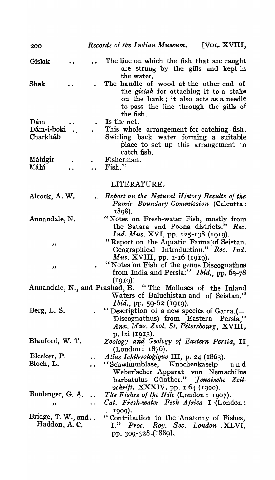| 200                                                                                                  |                                  | Records of the Indian Museum.<br>[VOL. $XVIII$ ,                                                                                                                                       |  |  |
|------------------------------------------------------------------------------------------------------|----------------------------------|----------------------------------------------------------------------------------------------------------------------------------------------------------------------------------------|--|--|
| Gislak                                                                                               |                                  | The line on which the fish that are caught<br>are strung by the gills and kept in<br>the water.                                                                                        |  |  |
| Shak                                                                                                 |                                  | The handle of wood at the other end of<br>the <i>gislak</i> for attaching it to a stake<br>on the bank; it also acts as a needle<br>to pass the line through the gills of<br>the fish. |  |  |
| Dám                                                                                                  |                                  | Is the net.                                                                                                                                                                            |  |  |
| Dám-i-boki.<br>Charkhab                                                                              |                                  | This whole arrangement for catching $fish.$<br>Swirling back water forming a suitable<br>place to set up this arrangement to<br>catch fish.                                            |  |  |
| Máhígír<br>Máhí                                                                                      |                                  | Fisherman.<br>Fish."                                                                                                                                                                   |  |  |
|                                                                                                      |                                  | LITERATURE.                                                                                                                                                                            |  |  |
| Alcock, A. W.                                                                                        |                                  | Report on the Natural History Results of the<br>Pamir Boundary Commission (Calcutta:<br>.1898).                                                                                        |  |  |
| Annandale, N.                                                                                        |                                  | "Notes on Fresh-water Fish, mostly from<br>the Satara and Poona districts."<br>Rec.<br>Ind. Mus. XVI, pp. 125-138 (1919).                                                              |  |  |
| ,,                                                                                                   |                                  | "Report on the Aquatic Fauna of Seistan.<br>Geographical Introduction." Rec. Ind.<br>Mus. XVIII, pp. $r$ -16 (1919).                                                                   |  |  |
| ,,                                                                                                   |                                  | "Notes on Fish of the genus Discognathus<br>from India and Persia." Ibid., pp. 65-78<br>(1919):                                                                                        |  |  |
| Annandale, N., and Prashad, B. "The Molluscs of the Inland<br>Waters of Baluchistan and of Seistan." |                                  |                                                                                                                                                                                        |  |  |
| Berg, L. S.                                                                                          |                                  | <i>Ibid.</i> , pp. 59-62 (1919).<br>. "Description of a new species of Garra $($ =<br>Discognathus) from Eastern Persia,"<br>Ann. Mus. Zool. St. Pétersbourg, XVIII,                   |  |  |
| Blanford, W. T.                                                                                      |                                  | p. 1xi (1913).<br>Zoology and Geology of Eastern Persia, II<br>(London: 1876).                                                                                                         |  |  |
| Bleeker, P.                                                                                          |                                  | $\ldots$ Atlas Ichthyologique III, p. 24 (1863).                                                                                                                                       |  |  |
| Bloch, L.                                                                                            | $\ddot{\phantom{a}}$             | "Schwimmblase, Knochenkaselp<br>und<br>Weber'scher Apparat von Nemachilus<br>barbatulus Günther." Jenaische Zeit-<br>$\cdot$ schrift. XXXIV, pp. 1-64 (1900).                          |  |  |
| Boulenger, G. A.                                                                                     |                                  | The Fishes of the Nile (London: $1907$ ).                                                                                                                                              |  |  |
| "                                                                                                    | $\bullet$ $\bullet$ <sup>2</sup> | Cat. Fresh-water Fish Africa I (London:<br>1909).                                                                                                                                      |  |  |
| Bridge, T.W., and<br>Haddon, A.C.                                                                    |                                  | "Contribution to the Anatomy of Fishes,<br>I." Proc. Roy. Soc. London .XLVI,<br>pp. 309-328 (1889).                                                                                    |  |  |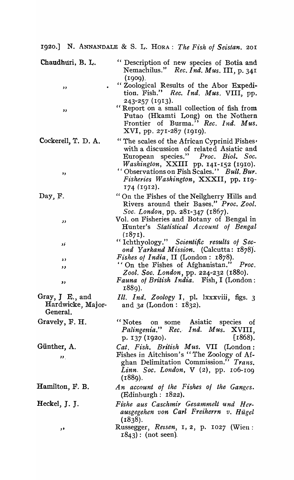1.920.] N. ANNANDALE & S. L. HORA: *The Fish 01 Seistan. 201* 

| Chaudhuri, B. L.                                   | " Description of new species of Botia and<br>Nemachilus." Rec. Ind. Mus. III, p. 341                                                                                                    |
|----------------------------------------------------|-----------------------------------------------------------------------------------------------------------------------------------------------------------------------------------------|
| ,,                                                 | (1909).<br>"Zoological Results of the Abor Expedi-<br>tion. Fish." Rec. Ind. Mus. VIII, pp.<br>243-257 (1913).                                                                          |
| ,,                                                 | "Report on a small collection of fish from<br>Putao (Hkamti Long) on the Nothern<br>Frontier of Burma." Rec. Ind. Mus.<br>XVI, pp. 271-287 (1919).                                      |
| Cockerell, T. D. A.                                | "The scales of the African Cyprinid Fishes'<br>with a discussion of related Asiatic and<br>European species." Proc. Biol. Soc.<br>Washington, XXIII pp. 141-152 (1910).                 |
| ,,                                                 | "Observations on Fish Scales." Bull. Bur.<br>Fisheries Washington, XXXII, pp. 119-<br>174 (1912).                                                                                       |
| Day, F.                                            | "On the Fishes of the Neilgherry Hills and<br>Rivers around their Bases." Proc. Zool.<br>Soc. London, pp. 281-347 (1867).                                                               |
| رر                                                 | Vol. on Fisheries and Botany of Bengal in<br>Hunter's Statistical Account of Bengal<br>(1871).                                                                                          |
| زر                                                 | "Ichthyology." Scientific results of Sec-<br>ond Yarkand Mission. (Calcutta: 1878).                                                                                                     |
| $\lambda$<br>,,                                    | <i>Fishes of India</i> , II (London: $1878$ ).<br>"On the Fishes of Afghanistan."<br>Proc.                                                                                              |
| ,,                                                 | Zool. Soc. London, pp. 224-232 (1880).<br>Fauna of British India. Fish, I (London:<br>1889).                                                                                            |
| Gray, $J$ E., and<br>Hardwicke, Major-<br>General. | Ill. Ind. Zoology I, pl. lxxxviii, figs. 3<br>and $3a$ (London: $1832$ ).                                                                                                               |
| Gravely, F. H.                                     | "Notes on some Asiatic species of<br>Palingenia." Rec. Ind. Mus. XVIII,<br>$[1868]$ .<br>p. 137 (1920).                                                                                 |
| Günther, A.<br>$\mathbf{v}_1$                      | Cat, Fish. British Mus. VII (London:<br>Fishes in Aitchison's "The Zoology of Af-<br>ghan Delimitation Commission." Trans.<br><i>Linn.</i> Soc. London, $V(2)$ , pp. 106-109<br>(1889). |
| Hamilton, F. B.                                    | An account of the Fishes of the Ganges.<br>(Edinburgh: $1822$ ).                                                                                                                        |
| Heckel, J. J.                                      | Fishe aus Caschmir Gesammelt und Her-<br>ausgegehen von Carl Freiherrn v. Hügel<br>(1838).                                                                                              |
| و ر                                                | Russegger, Reisen, 1, 2, p. 1027 (Wien:<br>$1843$ : (not seen).                                                                                                                         |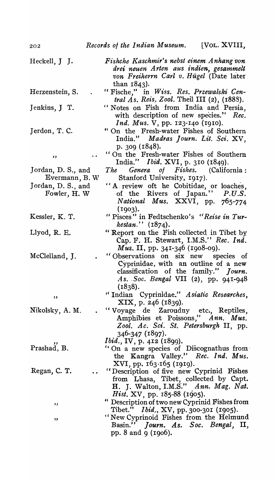| Heckell, J J.                        | Fishche Kaschmir's nebst einem Anhang von<br>drei neuen Arten aus indien, gesammelt<br>von Freiherrn Carl v. Hügel (Date later<br>than $1843$ ).                           |
|--------------------------------------|----------------------------------------------------------------------------------------------------------------------------------------------------------------------------|
| Herzenstein, S.                      | "Fische," in Wiss. Res. Przewalski Cen-<br><i>tral As. Reis. Zool. Theil III (2), (1888).</i>                                                                              |
| Jenkins, J T.                        | "Notes on Fish from India and Persia,<br>with description of new species." Rec.<br><i>Ind. Mus. V</i> , pp. 123-140 (1910).                                                |
| Jerdon, T. C.                        | " On the Fresh-water Fishes of Southern<br>India." Madras Journ. Lit. Sci. XV,<br>p. $309$ (1848).                                                                         |
| , ,                                  | "On the Fresh-water Fishes of Southern<br>India." <i>Ibid.</i> XVI, p. 310 (1849).                                                                                         |
| Jordan, D. S., and<br>Evermann, B.W. | The Genera of Fishes. (California:<br>Stanford University, 1917).                                                                                                          |
| Jordan, D. S., and<br>Fowler, H. W.  | "A review oft he Cobitidae, or loaches,<br>of the Rivers of Japan." P.U.S.<br>National Mus. XXVI, pp. 765-774<br>(1903).                                                   |
| Kessler, K. T.                       | "Pisces" in Fedtschenko's "Reise in Tur-<br>$\textit{kestan.''}$ (1874).                                                                                                   |
| Llyod, R. E.                         | "Report on the Fish collected in Tibet by<br>Cap. F. H. Stewart, I.M.S." Rec. Ind.<br><i>Mus.</i> II, pp. 341-346 (1908-09).                                               |
| McClelland, J.                       | "Observations on six new species of<br>Cyprinidae, with an outline of a new<br>classification of the family." Journ.<br>As. Soc. Bengal VII $(2)$ , pp. 941-948<br>(1838). |
| ,,                                   | "Indian Cyprinidae." Asiatic Researches,<br>XIX, p. 246 (1839).                                                                                                            |
| Nikolsky, A. M.                      | "Voyage de Zaroudny etc., Reptiles,<br>Amphibies et Poissons," Ann. Mus.<br>Zool. Ac. Sci. St. Petersburgh II, pp.<br>346-347 (1897).<br>Ibid., IV, p. 412 (1899).         |
| Prashad, B.                          | "On a new species of Discognathus from<br>the Kangra Valley." Rec. Ind. Mus.<br>XVI, pp. 163.165 (1919).                                                                   |
| Regan, C. T.                         | "Description of five new Cyprinid Fishes<br>from Lhasa, Tibet, collected by Capt.<br>H. J. Walton, I.M.S." Ann. Mag. Nat.<br>Hist. XV, pp. 185-88 (1905).                  |
| ,,                                   | " Description of two new Cyprinid Fishes from<br>Tibet." <i>Ibid.</i> , XV, pp. 300-301 (1905).                                                                            |
| ,,                                   | "New Cyprinoid Fishes from the Helmund<br>Basin." Journ. As. Soc. Bengal, II,<br>pp. 8 and 9 (1906).                                                                       |